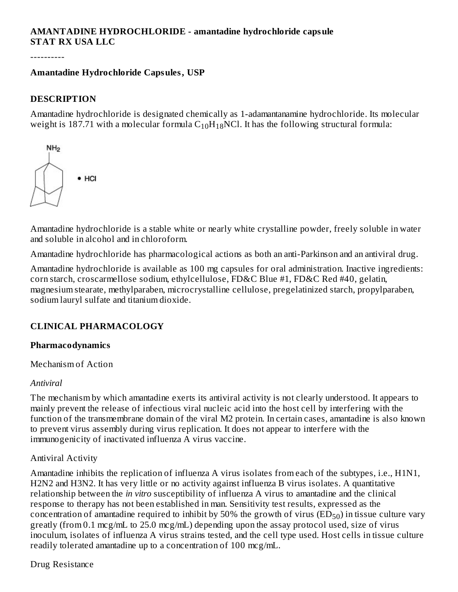#### **AMANTADINE HYDROCHLORIDE - amantadine hydrochloride capsule STAT RX USA LLC**

----------

#### **Amantadine Hydrochloride Capsules, USP**

#### **DESCRIPTION**

Amantadine hydrochloride is designated chemically as 1-adamantanamine hydrochloride. Its molecular weight is 187.71 with a molecular formula  $\rm{C_{10}H_{18}NCl.}$  It has the following structural formula:



Amantadine hydrochloride is a stable white or nearly white crystalline powder, freely soluble in water and soluble in alcohol and in chloroform.

Amantadine hydrochloride has pharmacological actions as both an anti-Parkinson and an antiviral drug.

Amantadine hydrochloride is available as 100 mg capsules for oral administration. Inactive ingredients: corn starch, croscarmellose sodium, ethylcellulose, FD&C Blue #1, FD&C Red #40, gelatin, magnesium stearate, methylparaben, microcrystalline cellulose, pregelatinized starch, propylparaben, sodium lauryl sulfate and titanium dioxide.

#### **CLINICAL PHARMACOLOGY**

#### **Pharmacodynamics**

Mechanism of Action

#### *Antiviral*

The mechanism by which amantadine exerts its antiviral activity is not clearly understood. It appears to mainly prevent the release of infectious viral nucleic acid into the host cell by interfering with the function of the transmembrane domain of the viral M2 protein. In certain cases, amantadine is also known to prevent virus assembly during virus replication. It does not appear to interfere with the immunogenicity of inactivated influenza A virus vaccine.

#### Antiviral Activity

Amantadine inhibits the replication of influenza A virus isolates from each of the subtypes, i.e., H1N1, H2N2 and H3N2. It has very little or no activity against influenza B virus isolates. A quantitative relationship between the *in vitro* susceptibility of influenza A virus to amantadine and the clinical response to therapy has not been established in man. Sensitivity test results, expressed as the concentration of amantadine required to inhibit by 50% the growth of virus  $(\mathrm{ED}_{50})$  in tissue culture vary greatly (from 0.1 mcg/mL to 25.0 mcg/mL) depending upon the assay protocol used, size of virus inoculum, isolates of influenza A virus strains tested, and the cell type used. Host cells in tissue culture readily tolerated amantadine up to a concentration of 100 mcg/mL.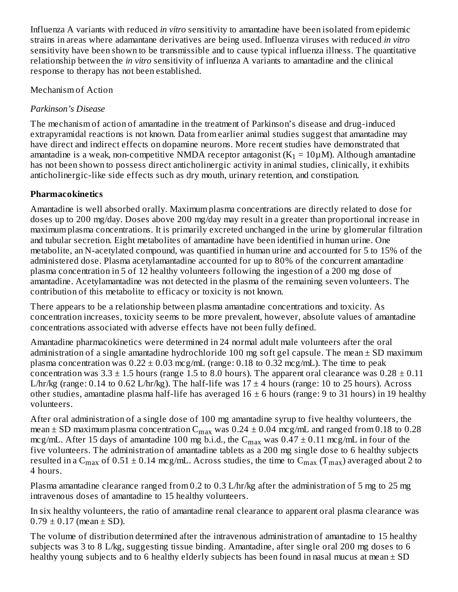Influenza A variants with reduced *in vitro* sensitivity to amantadine have been isolated from epidemic strains in areas where adamantane derivatives are being used. Influenza viruses with reduced *in vitro* sensitivity have been shown to be transmissible and to cause typical influenza illness. The quantitative relationship between the *in vitro* sensitivity of influenza A variants to amantadine and the clinical response to therapy has not been established.

Mechanism of Action

## *Parkinson's Disease*

The mechanism of action of amantadine in the treatment of Parkinson's disease and drug-induced extrapyramidal reactions is not known. Data from earlier animal studies suggest that amantadine may have direct and indirect effects on dopamine neurons. More recent studies have demonstrated that amantadine is a weak, non-competitive NMDA receptor antagonist (K $_1$  = 10 $\mu$ M). Although amantadine has not been shown to possess direct anticholinergic activity in animal studies, clinically, it exhibits anticholinergic-like side effects such as dry mouth, urinary retention, and constipation.

# **Pharmacokinetics**

Amantadine is well absorbed orally. Maximum plasma concentrations are directly related to dose for doses up to 200 mg/day. Doses above 200 mg/day may result in a greater than proportional increase in maximum plasma concentrations. It is primarily excreted unchanged in the urine by glomerular filtration and tubular secretion. Eight metabolites of amantadine have been identified in human urine. One metabolite, an N-acetylated compound, was quantified in human urine and accounted for 5 to 15% of the administered dose. Plasma acetylamantadine accounted for up to 80% of the concurrent amantadine plasma concentration in 5 of 12 healthy volunteers following the ingestion of a 200 mg dose of amantadine. Acetylamantadine was not detected in the plasma of the remaining seven volunteers. The contribution of this metabolite to efficacy or toxicity is not known.

There appears to be a relationship between plasma amantadine concentrations and toxicity. As concentration increases, toxicity seems to be more prevalent, however, absolute values of amantadine concentrations associated with adverse effects have not been fully defined.

Amantadine pharmacokinetics were determined in 24 normal adult male volunteers after the oral administration of a single amantadine hydrochloride 100 mg soft gel capsule. The mean  $\pm$  SD maximum plasma concentration was  $0.22 \pm 0.03$  mcg/mL (range: 0.18 to 0.32 mcg/mL). The time to peak concentration was  $3.3 \pm 1.5$  hours (range 1.5 to 8.0 hours). The apparent oral clearance was  $0.28 \pm 0.11$ L/hr/kg (range: 0.14 to 0.62 L/hr/kg). The half-life was  $17 \pm 4$  hours (range: 10 to 25 hours). Across other studies, amantadine plasma half-life has averaged  $16 \pm 6$  hours (range: 9 to 31 hours) in 19 healthy volunteers.

After oral administration of a single dose of 100 mg amantadine syrup to five healthy volunteers, the mean  $\pm$  SD maximum plasma concentration  $\rm C_{max}$  was 0.24  $\pm$  0.04 mcg/mL and ranged from 0.18 to 0.28 mcg/mL. After 15 days of amantadine 100 mg b.i.d., the C $_{\rm max}$  was 0.47  $\pm$  0.11 mcg/mL in four of the five volunteers. The administration of amantadine tablets as a 200 mg single dose to 6 healthy subjects resulted in a C<sub>max</sub> of 0.51  $\pm$  0.14 mcg/mL. Across studies, the time to C<sub>max</sub> (T<sub>max</sub>) averaged about 2 to 4 hours.

Plasma amantadine clearance ranged from 0.2 to 0.3 L/hr/kg after the administration of 5 mg to 25 mg intravenous doses of amantadine to 15 healthy volunteers.

In six healthy volunteers, the ratio of amantadine renal clearance to apparent oral plasma clearance was  $0.79 \pm 0.17$  (mean  $\pm$  SD).

The volume of distribution determined after the intravenous administration of amantadine to 15 healthy subjects was 3 to 8 L/kg, suggesting tissue binding. Amantadine, after single oral 200 mg doses to 6 healthy young subjects and to 6 healthy elderly subjects has been found in nasal mucus at mean  $\pm$  SD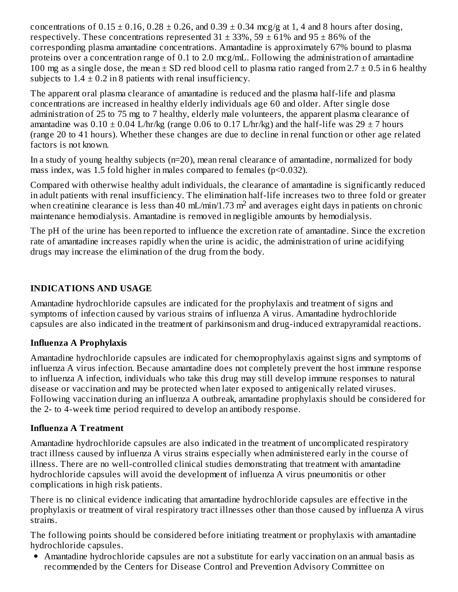concentrations of  $0.15 \pm 0.16$ ,  $0.28 \pm 0.26$ , and  $0.39 \pm 0.34$  mcg/g at 1, 4 and 8 hours after dosing, respectively. These concentrations represented  $31 \pm 33\%$ ,  $59 \pm 61\%$  and  $95 \pm 86\%$  of the corresponding plasma amantadine concentrations. Amantadine is approximately 67% bound to plasma proteins over a concentration range of 0.1 to 2.0 mcg/mL. Following the administration of amantadine 100 mg as a single dose, the mean  $\pm$  SD red blood cell to plasma ratio ranged from 2.7  $\pm$  0.5 in 6 healthy subjects to  $1.4 \pm 0.2$  in 8 patients with renal insufficiency.

The apparent oral plasma clearance of amantadine is reduced and the plasma half-life and plasma concentrations are increased in healthy elderly individuals age 60 and older. After single dose administration of 25 to 75 mg to 7 healthy, elderly male volunteers, the apparent plasma clearance of amantadine was  $0.10 \pm 0.04$  L/hr/kg (range 0.06 to 0.17 L/hr/kg) and the half-life was 29  $\pm$  7 hours (range 20 to 41 hours). Whether these changes are due to decline in renal function or other age related factors is not known.

In a study of young healthy subjects (n=20), mean renal clearance of amantadine, normalized for body mass index, was 1.5 fold higher in males compared to females (p<0.032).

Compared with otherwise healthy adult individuals, the clearance of amantadine is significantly reduced in adult patients with renal insufficiency. The elimination half-life increases two to three fold or greater when creatinine clearance is less than 40 mL/min/1.73 m<sup>2</sup> and averages eight days in patients on chronic maintenance hemodialysis. Amantadine is removed in negligible amounts by hemodialysis.

The pH of the urine has been reported to influence the excretion rate of amantadine. Since the excretion rate of amantadine increases rapidly when the urine is acidic, the administration of urine acidifying drugs may increase the elimination of the drug from the body.

## **INDICATIONS AND USAGE**

Amantadine hydrochloride capsules are indicated for the prophylaxis and treatment of signs and symptoms of infection caused by various strains of influenza A virus. Amantadine hydrochloride capsules are also indicated in the treatment of parkinsonism and drug-induced extrapyramidal reactions.

## **Influenza A Prophylaxis**

Amantadine hydrochloride capsules are indicated for chemoprophylaxis against signs and symptoms of influenza A virus infection. Because amantadine does not completely prevent the host immune response to influenza A infection, individuals who take this drug may still develop immune responses to natural disease or vaccination and may be protected when later exposed to antigenically related viruses. Following vaccination during an influenza A outbreak, amantadine prophylaxis should be considered for the 2- to 4-week time period required to develop an antibody response.

## **Influenza A Treatment**

Amantadine hydrochloride capsules are also indicated in the treatment of uncomplicated respiratory tract illness caused by influenza A virus strains especially when administered early in the course of illness. There are no well-controlled clinical studies demonstrating that treatment with amantadine hydrochloride capsules will avoid the development of influenza A virus pneumonitis or other complications in high risk patients.

There is no clinical evidence indicating that amantadine hydrochloride capsules are effective in the prophylaxis or treatment of viral respiratory tract illnesses other than those caused by influenza A virus strains.

The following points should be considered before initiating treatment or prophylaxis with amantadine hydrochloride capsules.

Amantadine hydrochloride capsules are not a substitute for early vaccination on an annual basis as recommended by the Centers for Disease Control and Prevention Advisory Committee on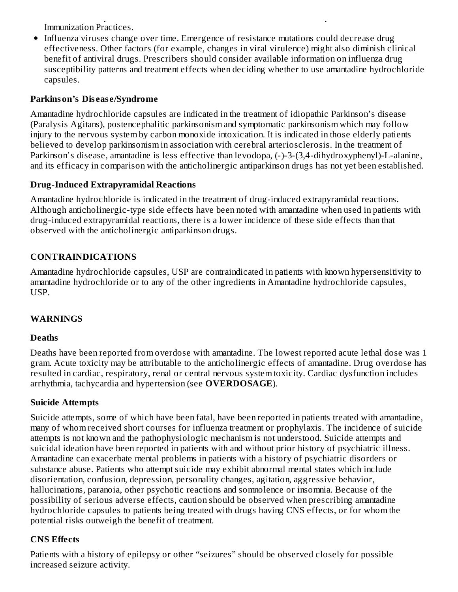recommended by the Centers for Disease Control and Prevention Advisory Committee on Immunization Practices.

• Influenza viruses change over time. Emergence of resistance mutations could decrease drug effectiveness. Other factors (for example, changes in viral virulence) might also diminish clinical benefit of antiviral drugs. Prescribers should consider available information on influenza drug susceptibility patterns and treatment effects when deciding whether to use amantadine hydrochloride capsules.

#### **Parkinson's Dis eas e/Syndrome**

Amantadine hydrochloride capsules are indicated in the treatment of idiopathic Parkinson's disease (Paralysis Agitans), postencephalitic parkinsonism and symptomatic parkinsonism which may follow injury to the nervous system by carbon monoxide intoxication. It is indicated in those elderly patients believed to develop parkinsonism in association with cerebral arteriosclerosis. In the treatment of Parkinson's disease, amantadine is less effective than levodopa, (-)-3-(3,4-dihydroxyphenyl)-L-alanine, and its efficacy in comparison with the anticholinergic antiparkinson drugs has not yet been established.

#### **Drug-Induced Extrapyramidal Reactions**

Amantadine hydrochloride is indicated in the treatment of drug-induced extrapyramidal reactions. Although anticholinergic-type side effects have been noted with amantadine when used in patients with drug-induced extrapyramidal reactions, there is a lower incidence of these side effects than that observed with the anticholinergic antiparkinson drugs.

# **CONTRAINDICATIONS**

Amantadine hydrochloride capsules, USP are contraindicated in patients with known hypersensitivity to amantadine hydrochloride or to any of the other ingredients in Amantadine hydrochloride capsules, USP.

## **WARNINGS**

#### **Deaths**

Deaths have been reported from overdose with amantadine. The lowest reported acute lethal dose was 1 gram. Acute toxicity may be attributable to the anticholinergic effects of amantadine. Drug overdose has resulted in cardiac, respiratory, renal or central nervous system toxicity. Cardiac dysfunction includes arrhythmia, tachycardia and hypertension (see **OVERDOSAGE**).

#### **Suicide Attempts**

Suicide attempts, some of which have been fatal, have been reported in patients treated with amantadine, many of whom received short courses for influenza treatment or prophylaxis. The incidence of suicide attempts is not known and the pathophysiologic mechanism is not understood. Suicide attempts and suicidal ideation have been reported in patients with and without prior history of psychiatric illness. Amantadine can exacerbate mental problems in patients with a history of psychiatric disorders or substance abuse. Patients who attempt suicide may exhibit abnormal mental states which include disorientation, confusion, depression, personality changes, agitation, aggressive behavior, hallucinations, paranoia, other psychotic reactions and somnolence or insomnia. Because of the possibility of serious adverse effects, caution should be observed when prescribing amantadine hydrochloride capsules to patients being treated with drugs having CNS effects, or for whom the potential risks outweigh the benefit of treatment.

## **CNS Effects**

Patients with a history of epilepsy or other "seizures" should be observed closely for possible increased seizure activity.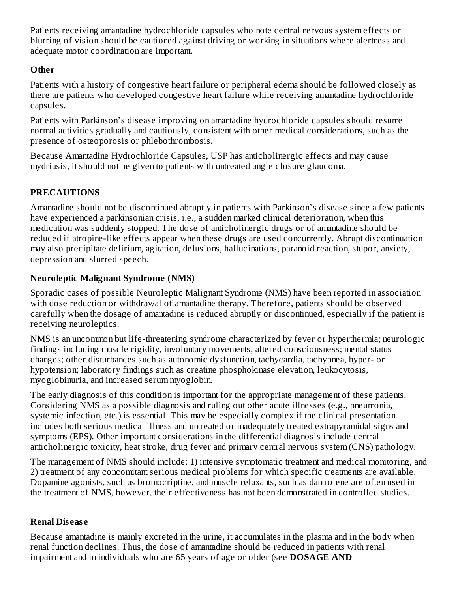Patients receiving amantadine hydrochloride capsules who note central nervous system effects or blurring of vision should be cautioned against driving or working in situations where alertness and adequate motor coordination are important.

## **Other**

Patients with a history of congestive heart failure or peripheral edema should be followed closely as there are patients who developed congestive heart failure while receiving amantadine hydrochloride capsules.

Patients with Parkinson's disease improving on amantadine hydrochloride capsules should resume normal activities gradually and cautiously, consistent with other medical considerations, such as the presence of osteoporosis or phlebothrombosis.

Because Amantadine Hydrochloride Capsules, USP has anticholinergic effects and may cause mydriasis, it should not be given to patients with untreated angle closure glaucoma.

# **PRECAUTIONS**

Amantadine should not be discontinued abruptly in patients with Parkinson's disease since a few patients have experienced a parkinsonian crisis, i.e., a sudden marked clinical deterioration, when this medication was suddenly stopped. The dose of anticholinergic drugs or of amantadine should be reduced if atropine-like effects appear when these drugs are used concurrently. Abrupt discontinuation may also precipitate delirium, agitation, delusions, hallucinations, paranoid reaction, stupor, anxiety, depression and slurred speech.

## **Neuroleptic Malignant Syndrome (NMS)**

Sporadic cases of possible Neuroleptic Malignant Syndrome (NMS) have been reported in association with dose reduction or withdrawal of amantadine therapy. Therefore, patients should be observed carefully when the dosage of amantadine is reduced abruptly or discontinued, especially if the patient is receiving neuroleptics.

NMS is an uncommon but life-threatening syndrome characterized by fever or hyperthermia; neurologic findings including muscle rigidity, involuntary movements, altered consciousness; mental status changes; other disturbances such as autonomic dysfunction, tachycardia, tachypnea, hyper- or hypotension; laboratory findings such as creatine phosphokinase elevation, leukocytosis, myoglobinuria, and increased serum myoglobin.

The early diagnosis of this condition is important for the appropriate management of these patients. Considering NMS as a possible diagnosis and ruling out other acute illnesses (e.g., pneumonia, systemic infection, etc.) is essential. This may be especially complex if the clinical presentation includes both serious medical illness and untreated or inadequately treated extrapyramidal signs and symptoms (EPS). Other important considerations in the differential diagnosis include central anticholinergic toxicity, heat stroke, drug fever and primary central nervous system (CNS) pathology.

The management of NMS should include: 1) intensive symptomatic treatment and medical monitoring, and 2) treatment of any concomitant serious medical problems for which specific treatments are available. Dopamine agonists, such as bromocriptine, and muscle relaxants, such as dantrolene are often used in the treatment of NMS, however, their effectiveness has not been demonstrated in controlled studies.

## **Renal Dis eas e**

Because amantadine is mainly excreted in the urine, it accumulates in the plasma and in the body when renal function declines. Thus, the dose of amantadine should be reduced in patients with renal impairment and in individuals who are 65 years of age or older (see **DOSAGE AND**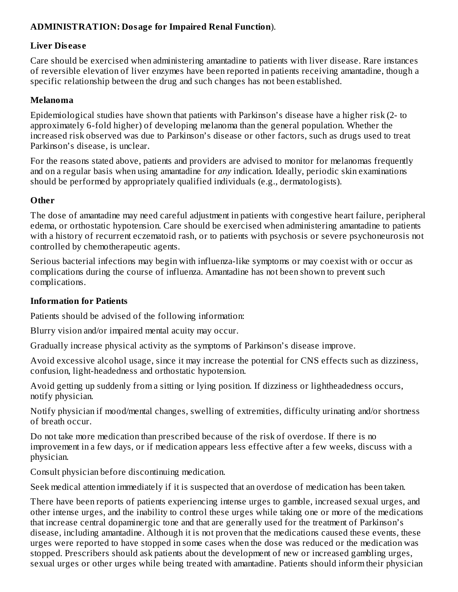#### **ADMINISTRATION: Dosage for Impaired Renal Function**).

#### **Liver Dis eas e**

Care should be exercised when administering amantadine to patients with liver disease. Rare instances of reversible elevation of liver enzymes have been reported in patients receiving amantadine, though a specific relationship between the drug and such changes has not been established.

#### **Melanoma**

Epidemiological studies have shown that patients with Parkinson's disease have a higher risk (2- to approximately 6-fold higher) of developing melanoma than the general population. Whether the increased risk observed was due to Parkinson's disease or other factors, such as drugs used to treat Parkinson's disease, is unclear.

For the reasons stated above, patients and providers are advised to monitor for melanomas frequently and on a regular basis when using amantadine for *any* indication. Ideally, periodic skin examinations should be performed by appropriately qualified individuals (e.g., dermatologists).

#### **Other**

The dose of amantadine may need careful adjustment in patients with congestive heart failure, peripheral edema, or orthostatic hypotension. Care should be exercised when administering amantadine to patients with a history of recurrent eczematoid rash, or to patients with psychosis or severe psychoneurosis not controlled by chemotherapeutic agents.

Serious bacterial infections may begin with influenza-like symptoms or may coexist with or occur as complications during the course of influenza. Amantadine has not been shown to prevent such complications.

#### **Information for Patients**

Patients should be advised of the following information:

Blurry vision and/or impaired mental acuity may occur.

Gradually increase physical activity as the symptoms of Parkinson's disease improve.

Avoid excessive alcohol usage, since it may increase the potential for CNS effects such as dizziness, confusion, light-headedness and orthostatic hypotension.

Avoid getting up suddenly from a sitting or lying position. If dizziness or lightheadedness occurs, notify physician.

Notify physician if mood/mental changes, swelling of extremities, difficulty urinating and/or shortness of breath occur.

Do not take more medication than prescribed because of the risk of overdose. If there is no improvement in a few days, or if medication appears less effective after a few weeks, discuss with a physician.

Consult physician before discontinuing medication.

Seek medical attention immediately if it is suspected that an overdose of medication has been taken.

There have been reports of patients experiencing intense urges to gamble, increased sexual urges, and other intense urges, and the inability to control these urges while taking one or more of the medications that increase central dopaminergic tone and that are generally used for the treatment of Parkinson's disease, including amantadine. Although it is not proven that the medications caused these events, these urges were reported to have stopped in some cases when the dose was reduced or the medication was stopped. Prescribers should ask patients about the development of new or increased gambling urges, sexual urges or other urges while being treated with amantadine. Patients should inform their physician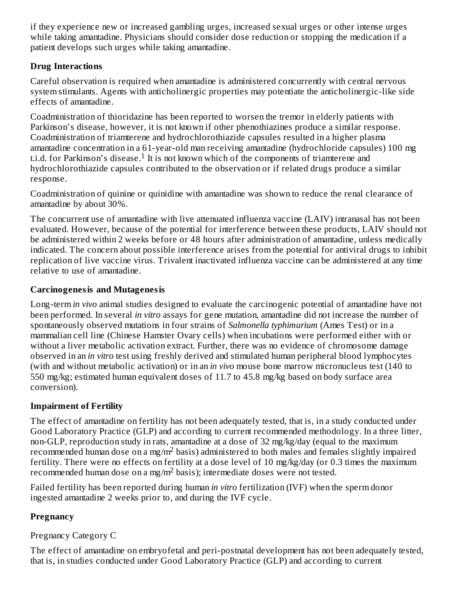if they experience new or increased gambling urges, increased sexual urges or other intense urges while taking amantadine. Physicians should consider dose reduction or stopping the medication if a patient develops such urges while taking amantadine.

## **Drug Interactions**

Careful observation is required when amantadine is administered concurrently with central nervous system stimulants. Agents with anticholinergic properties may potentiate the anticholinergic-like side effects of amantadine.

Coadministration of thioridazine has been reported to worsen the tremor in elderly patients with Parkinson's disease, however, it is not known if other phenothiazines produce a similar response. Coadministration of triamterene and hydrochlorothiazide capsules resulted in a higher plasma amantadine concentration in a 61-year-old man receiving amantadine (hydrochloride capsules) 100 mg t.i.d. for Parkinson's disease.<sup>1</sup> It is not known which of the components of triamterene and hydrochlorothiazide capsules contributed to the observation or if related drugs produce a similar response.

Coadministration of quinine or quinidine with amantadine was shown to reduce the renal clearance of amantadine by about 30%.

The concurrent use of amantadine with live attenuated influenza vaccine (LAIV) intranasal has not been evaluated. However, because of the potential for interference between these products, LAIV should not be administered within 2 weeks before or 48 hours after administration of amantadine, unless medically indicated. The concern about possible interference arises from the potential for antiviral drugs to inhibit replication of live vaccine virus. Trivalent inactivated influenza vaccine can be administered at any time relative to use of amantadine.

#### **Carcinogenesis and Mutagenesis**

Long-term *in vivo* animal studies designed to evaluate the carcinogenic potential of amantadine have not been performed. In several *in vitro* assays for gene mutation, amantadine did not increase the number of spontaneously observed mutations in four strains of *Salmonella typhimurium* (Ames Test) or in a mammalian cell line (Chinese Hamster Ovary cells) when incubations were performed either with or without a liver metabolic activation extract. Further, there was no evidence of chromosome damage observed in an *in vitro* test using freshly derived and stimulated human peripheral blood lymphocytes (with and without metabolic activation) or in an *in vivo* mouse bone marrow micronucleus test (140 to 550 mg/kg; estimated human equivalent doses of 11.7 to 45.8 mg/kg based on body surface area conversion).

#### **Impairment of Fertility**

The effect of amantadine on fertility has not been adequately tested, that is, in a study conducted under Good Laboratory Practice (GLP) and according to current recommended methodology. In a three litter, non-GLP, reproduction study in rats, amantadine at a dose of 32 mg/kg/day (equal to the maximum recommended human dose on a mg/m<sup>2</sup> basis) administered to both males and females slightly impaired fertility. There were no effects on fertility at a dose level of 10 mg/kg/day (or 0.3 times the maximum recommended human dose on a mg/m<sup>2</sup> basis); intermediate doses were not tested.

Failed fertility has been reported during human *in vitro* fertilization (IVF) when the sperm donor ingested amantadine 2 weeks prior to, and during the IVF cycle.

## **Pregnancy**

## Pregnancy Category C

The effect of amantadine on embryofetal and peri-postnatal development has not been adequately tested, that is, in studies conducted under Good Laboratory Practice (GLP) and according to current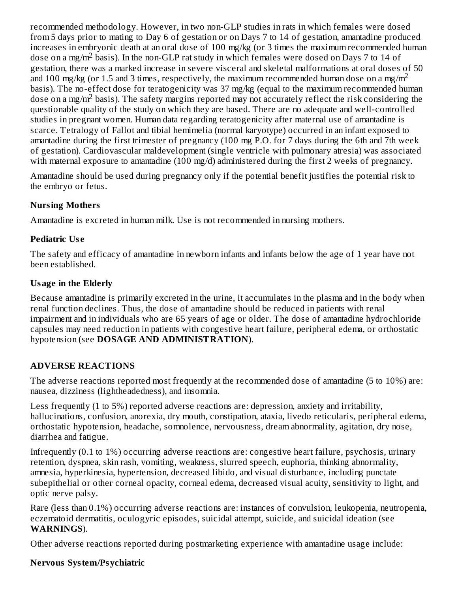recommended methodology. However, in two non-GLP studies in rats in which females were dosed from 5 days prior to mating to Day 6 of gestation or on Days 7 to 14 of gestation, amantadine produced increases in embryonic death at an oral dose of 100 mg/kg (or 3 times the maximum recommended human dose on a mg/m<sup>2</sup> basis). In the non-GLP rat study in which females were dosed on Days 7 to 14 of gestation, there was a marked increase in severe visceral and skeletal malformations at oral doses of 50 and 100 mg/kg (or 1.5 and 3 times, respectively, the maximum recommended human dose on a mg/m<sup>2</sup> basis). The no-effect dose for teratogenicity was 37 mg/kg (equal to the maximum recommended human dose on a mg/m<sup>2</sup> basis). The safety margins reported may not accurately reflect the risk considering the questionable quality of the study on which they are based. There are no adequate and well-controlled studies in pregnant women. Human data regarding teratogenicity after maternal use of amantadine is scarce. Tetralogy of Fallot and tibial hemimelia (normal karyotype) occurred in an infant exposed to amantadine during the first trimester of pregnancy (100 mg P.O. for 7 days during the 6th and 7th week of gestation). Cardiovascular maldevelopment (single ventricle with pulmonary atresia) was associated with maternal exposure to amantadine (100 mg/d) administered during the first 2 weeks of pregnancy.

Amantadine should be used during pregnancy only if the potential benefit justifies the potential risk to the embryo or fetus.

## **Nursing Mothers**

Amantadine is excreted in human milk. Use is not recommended in nursing mothers.

## **Pediatric Us e**

The safety and efficacy of amantadine in newborn infants and infants below the age of 1 year have not been established.

#### **Usage in the Elderly**

Because amantadine is primarily excreted in the urine, it accumulates in the plasma and in the body when renal function declines. Thus, the dose of amantadine should be reduced in patients with renal impairment and in individuals who are 65 years of age or older. The dose of amantadine hydrochloride capsules may need reduction in patients with congestive heart failure, peripheral edema, or orthostatic hypotension (see **DOSAGE AND ADMINISTRATION**).

## **ADVERSE REACTIONS**

The adverse reactions reported most frequently at the recommended dose of amantadine (5 to 10%) are: nausea, dizziness (lightheadedness), and insomnia.

Less frequently (1 to 5%) reported adverse reactions are: depression, anxiety and irritability, hallucinations, confusion, anorexia, dry mouth, constipation, ataxia, livedo reticularis, peripheral edema, orthostatic hypotension, headache, somnolence, nervousness, dream abnormality, agitation, dry nose, diarrhea and fatigue.

Infrequently (0.1 to 1%) occurring adverse reactions are: congestive heart failure, psychosis, urinary retention, dyspnea, skin rash, vomiting, weakness, slurred speech, euphoria, thinking abnormality, amnesia, hyperkinesia, hypertension, decreased libido, and visual disturbance, including punctate subepithelial or other corneal opacity, corneal edema, decreased visual acuity, sensitivity to light, and optic nerve palsy.

Rare (less than 0.1%) occurring adverse reactions are: instances of convulsion, leukopenia, neutropenia, eczematoid dermatitis, oculogyric episodes, suicidal attempt, suicide, and suicidal ideation (see **WARNINGS**).

Other adverse reactions reported during postmarketing experience with amantadine usage include:

## **Nervous System/Psychiatric**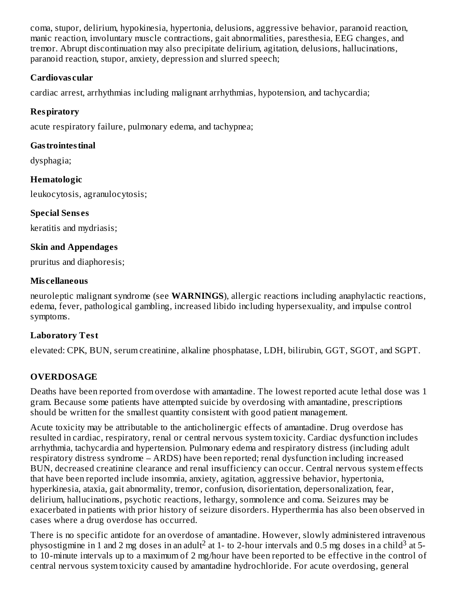coma, stupor, delirium, hypokinesia, hypertonia, delusions, aggressive behavior, paranoid reaction, manic reaction, involuntary muscle contractions, gait abnormalities, paresthesia, EEG changes, and tremor. Abrupt discontinuation may also precipitate delirium, agitation, delusions, hallucinations, paranoid reaction, stupor, anxiety, depression and slurred speech;

#### **Cardiovas cular**

cardiac arrest, arrhythmias including malignant arrhythmias, hypotension, and tachycardia;

## **Respiratory**

acute respiratory failure, pulmonary edema, and tachypnea;

# **Gastrointestinal**

dysphagia;

# **Hematologic**

leukocytosis, agranulocytosis;

# **Special Sens es**

keratitis and mydriasis;

# **Skin and Appendages**

pruritus and diaphoresis;

# **Mis cellaneous**

neuroleptic malignant syndrome (see **WARNINGS**), allergic reactions including anaphylactic reactions, edema, fever, pathological gambling, increased libido including hypersexuality, and impulse control symptoms.

# **Laboratory Test**

elevated: CPK, BUN, serum creatinine, alkaline phosphatase, LDH, bilirubin, GGT, SGOT, and SGPT.

# **OVERDOSAGE**

Deaths have been reported from overdose with amantadine. The lowest reported acute lethal dose was 1 gram. Because some patients have attempted suicide by overdosing with amantadine, prescriptions should be written for the smallest quantity consistent with good patient management.

Acute toxicity may be attributable to the anticholinergic effects of amantadine. Drug overdose has resulted in cardiac, respiratory, renal or central nervous system toxicity. Cardiac dysfunction includes arrhythmia, tachycardia and hypertension. Pulmonary edema and respiratory distress (including adult respiratory distress syndrome – ARDS) have been reported; renal dysfunction including increased BUN, decreased creatinine clearance and renal insufficiency can occur. Central nervous system effects that have been reported include insomnia, anxiety, agitation, aggressive behavior, hypertonia, hyperkinesia, ataxia, gait abnormality, tremor, confusion, disorientation, depersonalization, fear, delirium, hallucinations, psychotic reactions, lethargy, somnolence and coma. Seizures may be exacerbated in patients with prior history of seizure disorders. Hyperthermia has also been observed in cases where a drug overdose has occurred.

There is no specific antidote for an overdose of amantadine. However, slowly administered intravenous physostigmine in 1 and 2 mg doses in an adult<sup>2</sup> at 1- to 2-hour intervals and 0.5 mg doses in a child<sup>3</sup> at 5to 10-minute intervals up to a maximum of 2 mg/hour have been reported to be effective in the control of central nervous system toxicity caused by amantadine hydrochloride. For acute overdosing, general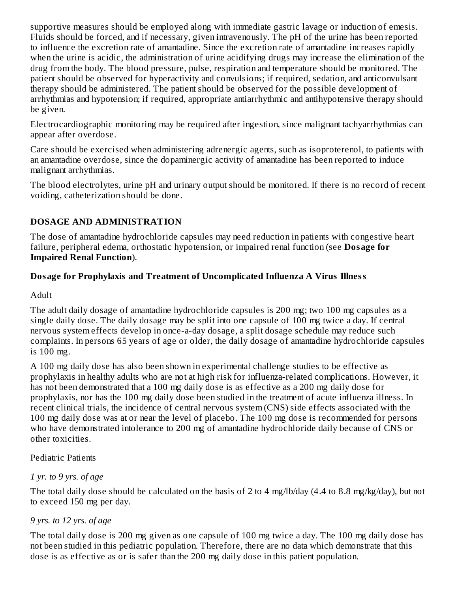supportive measures should be employed along with immediate gastric lavage or induction of emesis. Fluids should be forced, and if necessary, given intravenously. The pH of the urine has been reported to influence the excretion rate of amantadine. Since the excretion rate of amantadine increases rapidly when the urine is acidic, the administration of urine acidifying drugs may increase the elimination of the drug from the body. The blood pressure, pulse, respiration and temperature should be monitored. The patient should be observed for hyperactivity and convulsions; if required, sedation, and anticonvulsant therapy should be administered. The patient should be observed for the possible development of arrhythmias and hypotension; if required, appropriate antiarrhythmic and antihypotensive therapy should be given.

Electrocardiographic monitoring may be required after ingestion, since malignant tachyarrhythmias can appear after overdose.

Care should be exercised when administering adrenergic agents, such as isoproterenol, to patients with an amantadine overdose, since the dopaminergic activity of amantadine has been reported to induce malignant arrhythmias.

The blood electrolytes, urine pH and urinary output should be monitored. If there is no record of recent voiding, catheterization should be done.

## **DOSAGE AND ADMINISTRATION**

The dose of amantadine hydrochloride capsules may need reduction in patients with congestive heart failure, peripheral edema, orthostatic hypotension, or impaired renal function (see **Dosage for Impaired Renal Function**).

#### **Dosage for Prophylaxis and Treatment of Uncomplicated Influenza A Virus Illness**

Adult

The adult daily dosage of amantadine hydrochloride capsules is 200 mg; two 100 mg capsules as a single daily dose. The daily dosage may be split into one capsule of 100 mg twice a day. If central nervous system effects develop in once-a-day dosage, a split dosage schedule may reduce such complaints. In persons 65 years of age or older, the daily dosage of amantadine hydrochloride capsules is 100 mg.

A 100 mg daily dose has also been shown in experimental challenge studies to be effective as prophylaxis in healthy adults who are not at high risk for influenza-related complications. However, it has not been demonstrated that a 100 mg daily dose is as effective as a 200 mg daily dose for prophylaxis, nor has the 100 mg daily dose been studied in the treatment of acute influenza illness. In recent clinical trials, the incidence of central nervous system (CNS) side effects associated with the 100 mg daily dose was at or near the level of placebo. The 100 mg dose is recommended for persons who have demonstrated intolerance to 200 mg of amantadine hydrochloride daily because of CNS or other toxicities.

#### Pediatric Patients

## *1 yr. to 9 yrs. of age*

The total daily dose should be calculated on the basis of 2 to 4 mg/lb/day (4.4 to 8.8 mg/kg/day), but not to exceed 150 mg per day.

## *9 yrs. to 12 yrs. of age*

The total daily dose is 200 mg given as one capsule of 100 mg twice a day. The 100 mg daily dose has not been studied in this pediatric population. Therefore, there are no data which demonstrate that this dose is as effective as or is safer than the 200 mg daily dose in this patient population.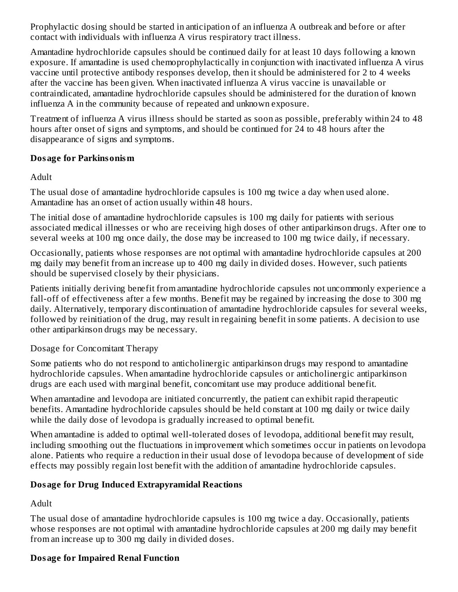Prophylactic dosing should be started in anticipation of an influenza A outbreak and before or after contact with individuals with influenza A virus respiratory tract illness.

Amantadine hydrochloride capsules should be continued daily for at least 10 days following a known exposure. If amantadine is used chemoprophylactically in conjunction with inactivated influenza A virus vaccine until protective antibody responses develop, then it should be administered for 2 to 4 weeks after the vaccine has been given. When inactivated influenza A virus vaccine is unavailable or contraindicated, amantadine hydrochloride capsules should be administered for the duration of known influenza A in the community because of repeated and unknown exposure.

Treatment of influenza A virus illness should be started as soon as possible, preferably within 24 to 48 hours after onset of signs and symptoms, and should be continued for 24 to 48 hours after the disappearance of signs and symptoms.

#### **Dosage for Parkinsonism**

Adult

The usual dose of amantadine hydrochloride capsules is 100 mg twice a day when used alone. Amantadine has an onset of action usually within 48 hours.

The initial dose of amantadine hydrochloride capsules is 100 mg daily for patients with serious associated medical illnesses or who are receiving high doses of other antiparkinson drugs. After one to several weeks at 100 mg once daily, the dose may be increased to 100 mg twice daily, if necessary.

Occasionally, patients whose responses are not optimal with amantadine hydrochloride capsules at 200 mg daily may benefit from an increase up to 400 mg daily in divided doses. However, such patients should be supervised closely by their physicians.

Patients initially deriving benefit from amantadine hydrochloride capsules not uncommonly experience a fall-off of effectiveness after a few months. Benefit may be regained by increasing the dose to 300 mg daily. Alternatively, temporary discontinuation of amantadine hydrochloride capsules for several weeks, followed by reinitiation of the drug, may result in regaining benefit in some patients. A decision to use other antiparkinson drugs may be necessary.

Dosage for Concomitant Therapy

Some patients who do not respond to anticholinergic antiparkinson drugs may respond to amantadine hydrochloride capsules. When amantadine hydrochloride capsules or anticholinergic antiparkinson drugs are each used with marginal benefit, concomitant use may produce additional benefit.

When amantadine and levodopa are initiated concurrently, the patient can exhibit rapid therapeutic benefits. Amantadine hydrochloride capsules should be held constant at 100 mg daily or twice daily while the daily dose of levodopa is gradually increased to optimal benefit.

When amantadine is added to optimal well-tolerated doses of levodopa, additional benefit may result, including smoothing out the fluctuations in improvement which sometimes occur in patients on levodopa alone. Patients who require a reduction in their usual dose of levodopa because of development of side effects may possibly regain lost benefit with the addition of amantadine hydrochloride capsules.

# **Dosage for Drug Induced Extrapyramidal Reactions**

Adult

The usual dose of amantadine hydrochloride capsules is 100 mg twice a day. Occasionally, patients whose responses are not optimal with amantadine hydrochloride capsules at 200 mg daily may benefit from an increase up to 300 mg daily in divided doses.

# **Dosage for Impaired Renal Function**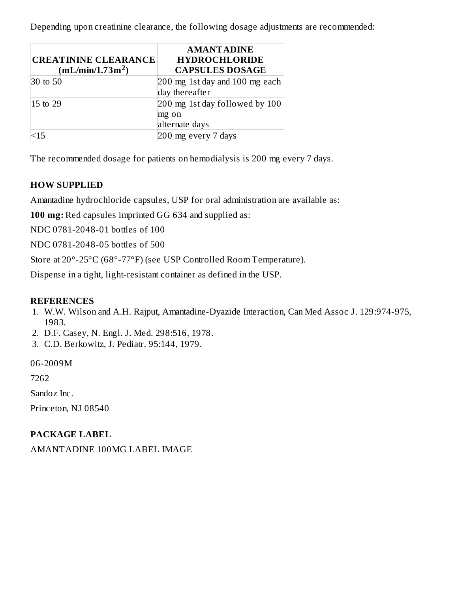Depending upon creatinine clearance, the following dosage adjustments are recommended:

| <b>CREATININE CLEARANCE</b><br>(mL/min/1.73m <sup>2</sup> ) | <b>AMANTADINE</b><br><b>HYDROCHLORIDE</b><br><b>CAPSULES DOSAGE</b> |
|-------------------------------------------------------------|---------------------------------------------------------------------|
| 30 to 50                                                    | 200 mg 1st day and 100 mg each<br>day thereafter                    |
| $ 15 \text{ to } 29$                                        | 200 mg 1st day followed by 100<br>mg on<br>alternate days           |
|                                                             | 200 mg every 7 days                                                 |

The recommended dosage for patients on hemodialysis is 200 mg every 7 days.

#### **HOW SUPPLIED**

Amantadine hydrochloride capsules, USP for oral administration are available as:

**100 mg:** Red capsules imprinted GG 634 and supplied as:

NDC 0781-2048-01 bottles of 100

NDC 0781-2048-05 bottles of 500

Store at 20°-25°C (68°-77°F) (see USP Controlled Room Temperature).

Dispense in a tight, light-resistant container as defined in the USP.

#### **REFERENCES**

- 1. W.W. Wilson and A.H. Rajput, Amantadine-Dyazide Interaction, Can Med Assoc J. 129:974-975, 1983.
- 2. D.F. Casey, N. Engl. J. Med. 298:516, 1978.
- 3. C.D. Berkowitz, J. Pediatr. 95:144, 1979.

06-2009M

7262

Sandoz Inc.

Princeton, NJ 08540

#### **PACKAGE LABEL**

AMANTADINE 100MG LABEL IMAGE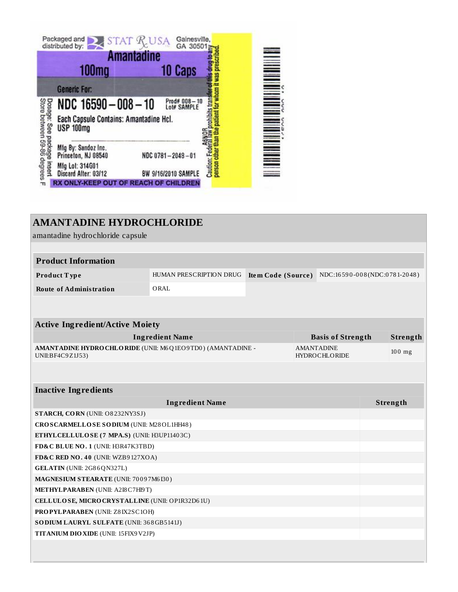|                                                             |                                            | <b>Amantadine</b> |                             |
|-------------------------------------------------------------|--------------------------------------------|-------------------|-----------------------------|
|                                                             | <b>100mg</b>                               |                   | 10 Caps                     |
| <b>Generic For:</b>                                         |                                            |                   |                             |
| Dosage: See package insert<br>Store between 59-86 degrees F | NDC 16590-008-10                           |                   | Prod# 008-10<br>Lot# SAMPLE |
|                                                             | Each Capsule Contains: Amantadine Hcl.     |                   |                             |
| <b>USP 100mg</b>                                            |                                            |                   |                             |
|                                                             | Mfg By: Sandoz Inc.<br>Princeton, NJ 08540 | NDC 0781-2048-01  |                             |

## **AMANTADINE HYDROCHLORIDE**

amantadine hydrochloride capsule

| <b>Product Information</b>                                                     |                         |                                           |                          |                              |  |          |
|--------------------------------------------------------------------------------|-------------------------|-------------------------------------------|--------------------------|------------------------------|--|----------|
| Product Type                                                                   | HUMAN PRESCRIPTION DRUG | Item Code (Source)                        |                          | NDC:16590-008(NDC:0781-2048) |  |          |
| <b>Route of Administration</b>                                                 | ORAL                    |                                           |                          |                              |  |          |
|                                                                                |                         |                                           |                          |                              |  |          |
|                                                                                |                         |                                           |                          |                              |  |          |
| <b>Active Ingredient/Active Moiety</b>                                         |                         |                                           |                          |                              |  |          |
| <b>Ingredient Name</b>                                                         |                         |                                           | <b>Basis of Strength</b> |                              |  | Strength |
| AMANTADINE HYDRO CHLORIDE (UNII: M6Q1EO9TD0) (AMANTADINE -<br>UNII:BF4C9Z1J53) |                         | <b>AMANTADINE</b><br><b>HYDROCHLORIDE</b> |                          | $100$ mg                     |  |          |
|                                                                                |                         |                                           |                          |                              |  |          |
| <b>Inactive Ingredients</b>                                                    |                         |                                           |                          |                              |  |          |
|                                                                                | <b>Ingredient Name</b>  |                                           |                          |                              |  | Strength |
| STARCH, CORN (UNII: O8232NY3SJ)                                                |                         |                                           |                          |                              |  |          |
| CROSCARMELLOSE SODIUM (UNII: M28OL1HH48)                                       |                         |                                           |                          |                              |  |          |
| ETHYLCELLULOSE (7 MPA.S) (UNII: H3UP11403C)                                    |                         |                                           |                          |                              |  |          |
| FD&C BLUE NO. 1 (UNII: H3R47K3TBD)                                             |                         |                                           |                          |                              |  |          |
| FD&C RED NO. 40 (UNII: WZB9127XOA)                                             |                         |                                           |                          |                              |  |          |
| <b>GELATIN</b> (UNII: 2G86QN327L)                                              |                         |                                           |                          |                              |  |          |

**MAGNESIUM STEARATE** (UNII: 70 0 9 7M6 I30 ) **METHYLPARABEN** (UNII: A2I8C7HI9T) **CELLULOSE, MICROCRYSTALLINE** (UNII: OP1R32D6 1U) **PROPYLPARABEN** (UNII: Z8 IX2SC1OH) **SODIUM LAURYL SULFATE** (UNII: 36 8GB5141J) **TITANIUM DIOXIDE** (UNII: 15FIX9V2JP)